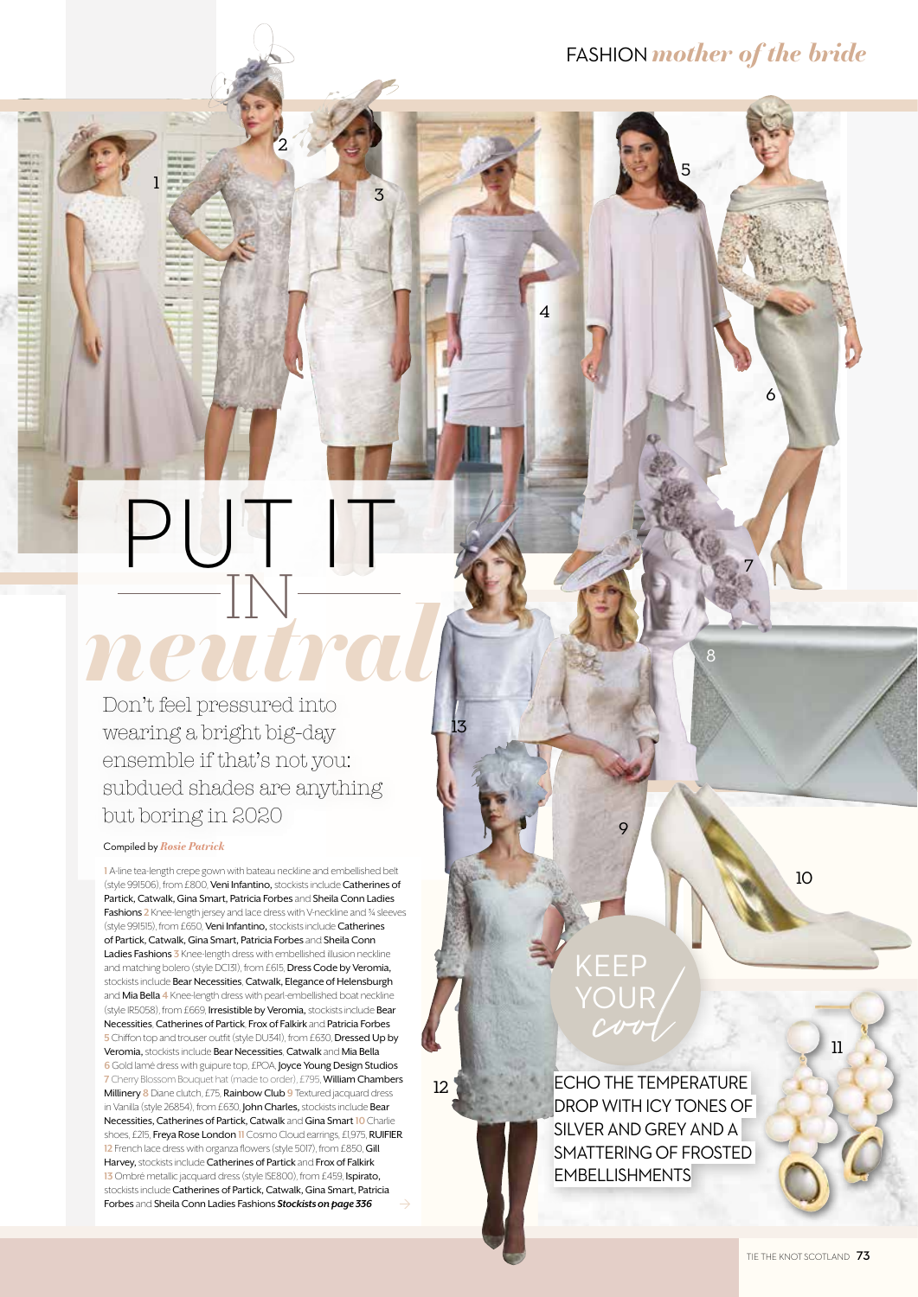6

7

8

5

## $\Box$ IN Don't feel pressured into *neutral*

wearing a bright big-day ensemble if that's not you: subdued shades are anything but boring in 2020

## Compiled by*Rosie Patrick*

1

10 **<sup>1</sup>** A-line tea-length crepe gown with bateau neckline and embellished belt (style 991506), from £800, Veni Infantino, stockists include Catherines of Partick, Catwalk, Gina Smart, Patricia Forbes and Sheila Conn Ladies Fashions 2 Knee-length jersey and lace dress with V-neckline and <sup>3</sup>/4 sleeves (style 991515), from £650, Veni Infantino, stockists include Catherines of Partick, Catwalk, Gina Smart, Patricia Forbes and Sheila Conn Ladies Fashions **3** Knee-length dress with embellished illusion neckline and matching bolero (style DC131), from £615, Dress Code by Veromia, stockists include Bear Necessities, Catwalk, Elegance of Helensburgh and Mia Bella **4** Knee-length dress with pearl-embellished boat neckline (style IR5058), from £669, Irresistible by Veromia, stockists include Bear Necessities, Catherines of Partick, Frox of Falkirk and Patricia Forbes **5** Chiffon top and trouser outfit (style DU341), from £630, Dressed Up by Veromia,stockists include Bear Necessities, Catwalk and Mia Bella **6** Gold lamé dress with guipure top, £POA, **Joyce Young Design Studios 7** Cherry Blossom Bouquet hat (made to order), £795, William Chambers Millinery **8** Diane clutch, £75, Rainbow Club **9** Textured jacquard dress in Vanilla (style 26854), from £630, John Charles, stockists include Bear Necessities, Catherines of Partick, Catwalk and Gina Smart **10** Charlie shoes, £215, Freya Rose London **11** Cosmo Cloud earrings, £1,975, RUIFIER **12** French lace dress with organza flowers (style 5017), from £850, Gill Harvey, stockists include Catherines of Partick and Frox of Falkirk **13** Ombré metallic jacquard dress (style ISE800), from £459, Ispirato, stockists include Catherines of Partick, Catwalk, Gina Smart, Patricia Forbes and Sheila Conn Ladies Fashions *Stockists on page 336* Ò

12

13

## EEP<br>OUR<br>Cov YOUR

9

4

3

 $\overline{2}$ 

ECHO THE TEMPERATURE DROP WITH ICY TONES OF SILVER AND GREY AND A SMATTERING OF FROSTED EMBELLISHMENTS

11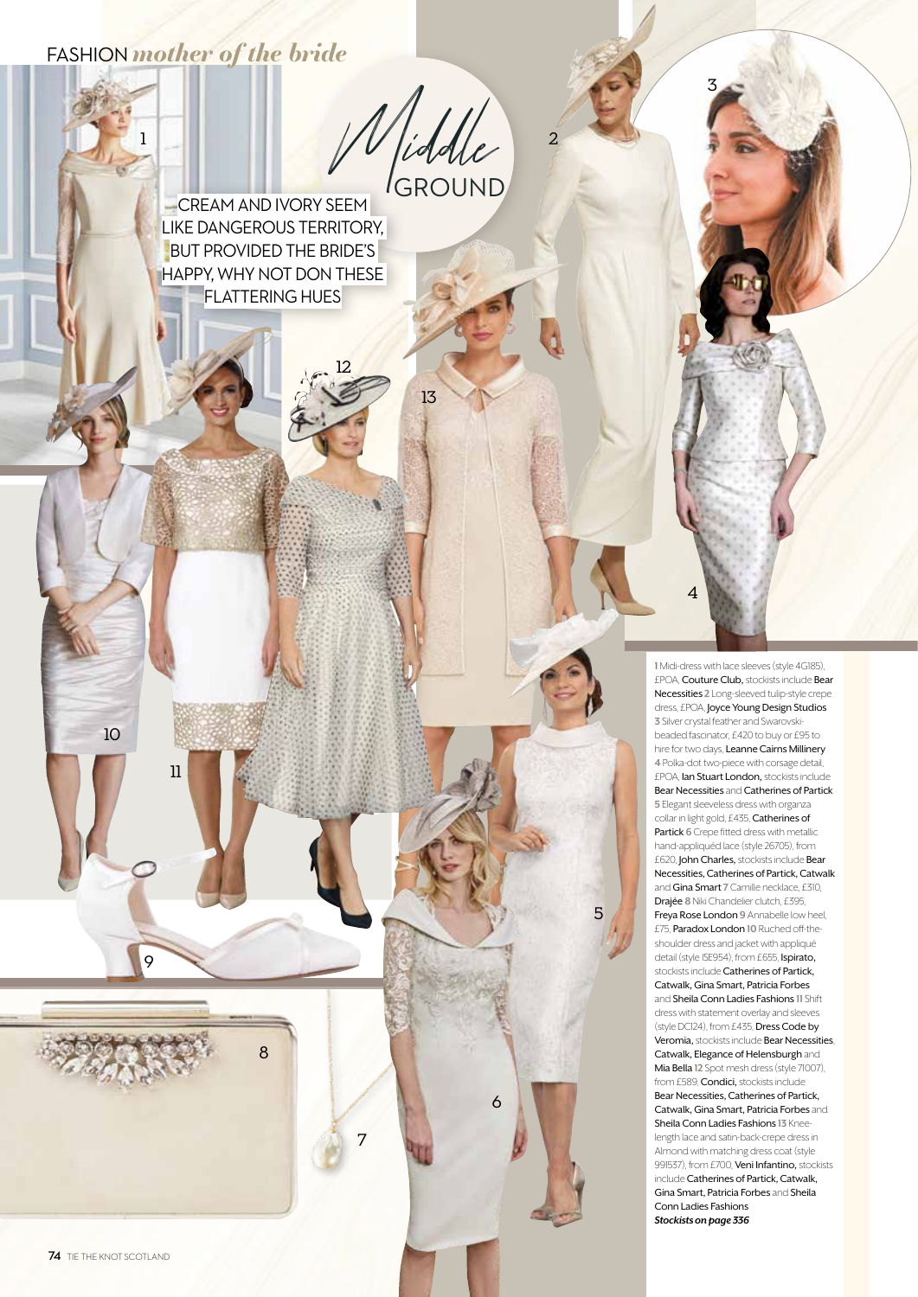## FASHION *mother of the bride*

1

11

9

8

10

W /iddle 2 GROUND

13

8

7

**CREAM AND IVORY SEEM** LIKE DANGEROUS TERRITORY, BUT PROVIDED THE BRIDE'S HAPPY, WHY NOT DON THESE FLATTERING HUES

12

**1** Midi-dress with lace sleeves (style 4G185), £POA, Couture Club, stockists include Bear Necessities **2** Long-sleeved tulip-style crepe dress, £POA, Joyce Young Design Studios **3** Silver crystal feather and Swarovskibeaded fascinator, £420 to buy or £95 to hire for two days, Leanne Cairns Millinery **4** Polka-dot two-piece with corsage detail, £POA, Ian Stuart London, stockists include Bear Necessities and Catherines of Partick **5** Elegant sleeveless dress with organza collar in light gold, £435, Catherines of Partick **6** Crepe fitted dress with metallic hand-appliquéd lace (style 26705), from £620, John Charles, stockists include Bear Necessities, Catherines of Partick, Catwalk and Gina Smart **7** Camille necklace, £310, Drajée **8** Niki Chandelier clutch, £395, Freya Rose London **9** Annabelle low heel, £75, Paradox London **10** Ruched off-theshoulder dress and jacket with appliqué detail (style ISE954), from £655, Ispirato, stockists include Catherines of Partick, Catwalk, Gina Smart, Patricia Forbes and Sheila Conn Ladies Fashions **11** Shift dress with statement overlay and sleeves (style DC124), from £435, Dress Code by Veromia, stockists include Bear Necessities, Catwalk, Elegance of Helensburgh and Mia Bella **12** Spot mesh dress (style 71007), from £589, **Condici**, stockists include Bear Necessities, Catherines of Partick, Catwalk, Gina Smart, Patricia Forbes and Sheila Conn Ladies Fashions **13** Kneelength lace and satin-back-crepe dress in Almond with matching dress coat (style 991537), from £700, Veni Infantino, stockists include Catherines of Partick, Catwalk, Gina Smart, Patricia Forbes and Sheila

5

6

3

 $\overline{\mathbf{A}}$ 

Conn Ladies Fashions *Stockists on page 336*